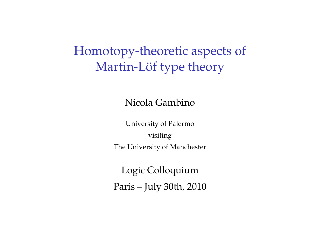# Homotopy-theoretic aspects of Martin-Löf type theory

Nicola Gambino

University of Palermo visiting The University of Manchester

Logic Colloquium Paris – July 30th, 2010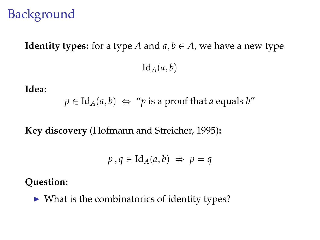# **Background**

# **Identity types:** for a type *A* and  $a, b \in A$ , we have a new type  $Id_A(a, b)$

**Idea:**

 $p \in \text{Id}_{A}(a, b) \Leftrightarrow$  "*p* is a proof that *a* equals *b*"

**Key discovery** (Hofmann and Streicher, 1995)**:**

$$
p\,,q\in\mathrm{Id}_A(a,b)\ \nRightarrow\ p=q
$$

#### **Question:**

 $\triangleright$  What is the combinatorics of identity types?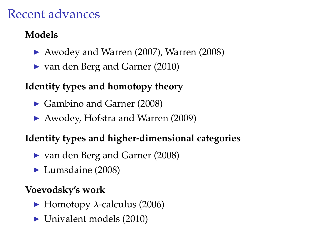# Recent advances

## **Models**

- $\blacktriangleright$  Awodey and Warren (2007), Warren (2008)
- $\triangleright$  van den Berg and Garner (2010)

## **Identity types and homotopy theory**

- ► Gambino and Garner (2008)
- $\blacktriangleright$  Awodey, Hofstra and Warren (2009)

## **Identity types and higher-dimensional categories**

- $\triangleright$  van den Berg and Garner (2008)
- $\blacktriangleright$  Lumsdaine (2008)

## **Voevodsky's work**

- $\blacktriangleright$  Homotopy  $\lambda$ -calculus (2006)
- $\blacktriangleright$  Univalent models (2010)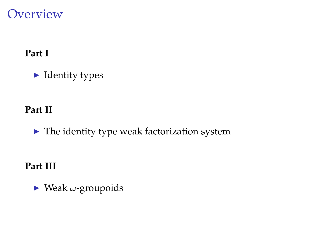## **Overview**

### **Part I**

 $\blacktriangleright$  Identity types

#### **Part II**

 $\blacktriangleright$  The identity type weak factorization system

### **Part III**

 $\blacktriangleright$  Weak  $\omega$ -groupoids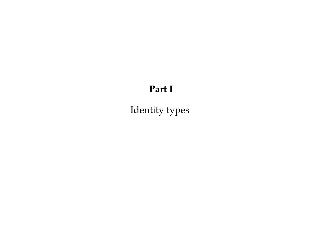### **Part I**

Identity types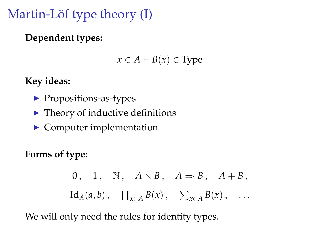# Martin-Löf type theory  $(I)$

**Dependent types:**

 $x \in A \vdash B(x) \in \text{Type}$ 

**Key ideas:**

- $\blacktriangleright$  Propositions-as-types
- $\blacktriangleright$  Theory of inductive definitions
- $\blacktriangleright$  Computer implementation

**Forms of type:**

0. 1. N,  $A \times B$ ,  $A \Rightarrow B$ ,  $A + B$ ,  $\prod_{x \in A} B(x)$ ,  $\sum_{x \in A} B(x)$ ,  $\sum_{x \in A} B(x)$ , ...

We will only need the rules for identity types.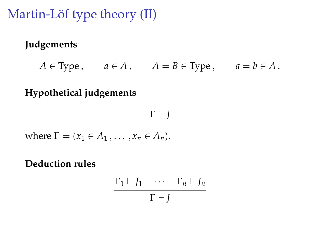Martin-Löf type theory  $(II)$ 

### **Judgements**

 $A \in \text{Type}$ ,  $a \in A$ ,  $A = B \in \text{Type}$ ,  $a = b \in A$ .

### **Hypothetical judgements**

$$
\Gamma \vdash J
$$

where  $\Gamma = (x_1 \in A_1, \ldots, x_n \in A_n).$ 

**Deduction rules**

$$
\frac{\Gamma_1 \vdash J_1 \quad \cdots \quad \Gamma_n \vdash J_n}{\Gamma \vdash J}
$$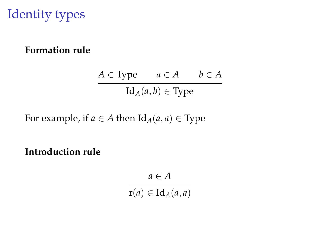# Identity types

#### **Formation rule**

$$
A \in \text{Type} \qquad a \in A \qquad b \in A
$$

$$
\text{Id}_A(a, b) \in \text{Type}
$$

For example, if  $a \in A$  then  $Id_A(a, a) \in Type$ 

**Introduction rule**

 $a \in A$ 

 $r(a) \in \mathrm{Id}_A(a,a)$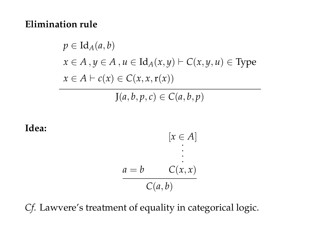#### **Elimination rule**

$$
p \in \text{Id}_{A}(a, b)
$$
  
\n
$$
x \in A, y \in A, u \in \text{Id}_{A}(x, y) \vdash C(x, y, u) \in \text{Type}
$$
  
\n
$$
x \in A \vdash c(x) \in C(x, x, r(x))
$$

 $J(a, b, p, c) \in C(a, b, p)$ 

**Idea:**

$$
[x \in A]
$$
  
\n
$$
\vdots
$$
  
\n
$$
a = b \qquad C(x, x)
$$
  
\n
$$
C(a, b)
$$

*Cf.* Lawvere's treatment of equality in categorical logic.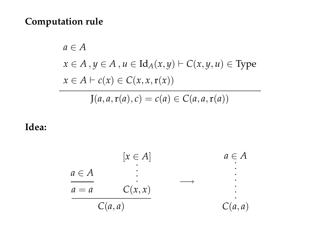#### **Computation rule**

$$
a \in A
$$
  

$$
x \in A, y \in A, u \in \text{Id}_{A}(x, y) \vdash C(x, y, u) \in \text{Type}
$$
  

$$
x \in A \vdash c(x) \in C(x, x, r(x))
$$

$$
J(a, a, r(a), c) = c(a) \in C(a, a, r(a))
$$

#### **Idea:**

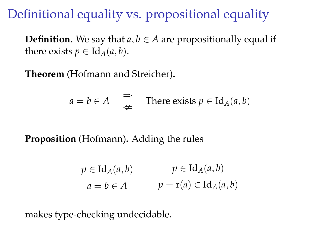# Definitional equality vs. propositional equality

**Definition.** We say that  $a, b \in A$  are propositionally equal if there exists  $p \in \text{Id}_{A}(a, b)$ .

**Theorem** (Hofmann and Streicher)**.**

$$
a = b \in A
$$
  $\Rightarrow$  There exists  $p \in \text{Id}_A(a, b)$ 

### **Proposition** (Hofmann)**.** Adding the rules

$$
\frac{p \in \mathrm{Id}_{A}(a,b)}{a = b \in A} \qquad \frac{p \in \mathrm{Id}_{A}(a,b)}{p = \mathrm{r}(a) \in \mathrm{Id}_{A}(a,b)}
$$

makes type-checking undecidable.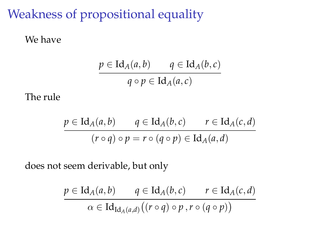# Weakness of propositional equality

#### We have

$$
\frac{p \in \mathrm{Id}_A(a,b) \qquad q \in \mathrm{Id}_A(b,c)}{q \circ p \in \mathrm{Id}_A(a,c)}
$$

The rule

$$
\frac{p \in \mathrm{Id}_A(a,b) \qquad q \in \mathrm{Id}_A(b,c) \qquad r \in \mathrm{Id}_A(c,d)}{(r \circ q) \circ p = r \circ (q \circ p) \in \mathrm{Id}_A(a,d)}
$$

does not seem derivable, but only

$$
\frac{p \in \mathrm{Id}_{A}(a,b) \qquad q \in \mathrm{Id}_{A}(b,c) \qquad r \in \mathrm{Id}_{A}(c,d)}{\alpha \in \mathrm{Id}_{\mathrm{Id}_{A}(a,d)}((r \circ q) \circ p, r \circ (q \circ p))}
$$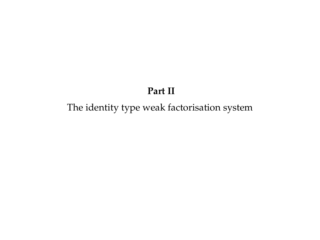#### **Part II**

### The identity type weak factorisation system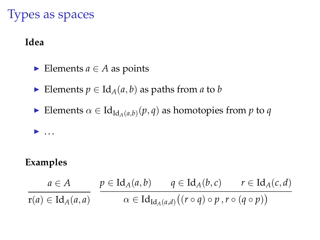# Types as spaces

#### **Idea**

- Elements  $a \in A$  as points
- Elements  $p \in \text{Id}_A(a, b)$  as paths from *a* to *b*
- ► Elements  $\alpha \in \mathrm{Id}_{\mathrm{Id}_A(a,b)}(p,q)$  as homotopies from  $p$  to  $q$

### **Examples**

 $\blacktriangleright$  ...

$$
\frac{a \in A}{r(a) \in Id_A(a,a)} \quad \frac{p \in Id_A(a,b)}{\alpha \in Id_{Id_A(a,d)}((r \circ q) \circ p, r \circ (q \circ p))}
$$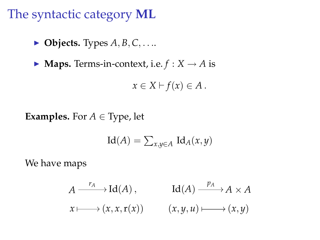The syntactic category **ML**

- $\triangleright$  **Objects.** Types  $A, B, C, \ldots$
- $\blacktriangleright$  **Maps.** Terms-in-context, i.e.  $f : X \rightarrow A$  is

$$
x\in X\vdash f(x)\in A.
$$

**Examples.** For  $A \in \text{Type}$ , let

$$
Id(A) = \sum_{x,y \in A} Id_A(x,y)
$$

We have maps

$$
A \xrightarrow{r_A} \operatorname{Id}(A), \qquad \operatorname{Id}(A) \xrightarrow{p_A} A \times A
$$

$$
x \longmapsto (x, x, r(x)) \qquad (x, y, u) \longmapsto (x, y)
$$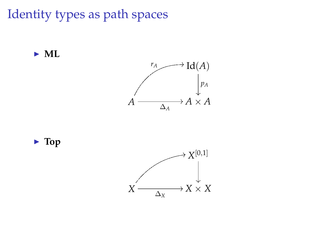Identity types as path spaces







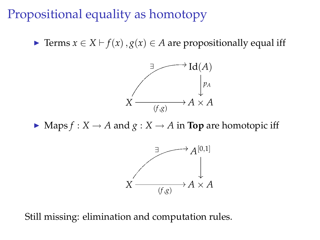# Propositional equality as homotopy

► Terms  $x \in X \vdash f(x)$ ,  $g(x) \in A$  are propositionally equal iff



 $\blacktriangleright$  Maps  $f : X \to A$  and  $g : X \to A$  in **Top** are homotopic iff



Still missing: elimination and computation rules.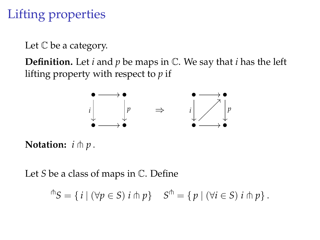# Lifting properties

Let  $\mathbb C$  be a category.

**Definition.** Let *i* and *p* be maps in C. We say that *i* has the left lifting property with respect to *p* if



**Notation:**  $i \uparrow p$ .

Let *S* be a class of maps in C. Define

 $f^{\uparrow}S = \{ i \mid (\forall p \in S) \ i \pitchfork p \}$   $S^{\uparrow} = \{ p \mid (\forall i \in S) \ i \pitchfork p \}.$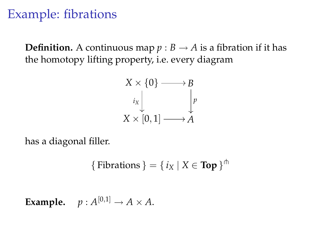# Example: fibrations

**Definition.** A continuous map  $p : B \to A$  is a fibration if it has the homotopy lifting property, i.e. every diagram



has a diagonal filler.

{ Fibrations } = { 
$$
i_X | X \in \text{Top }
$$
 }  $\uparrow$ <sup>†</sup>

**Example.**  $p : A^{[0,1]} \to A \times A$ .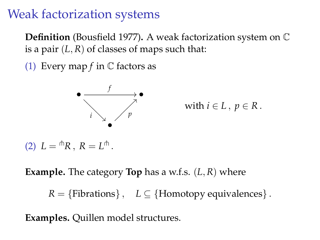# Weak factorization systems

**Definition** (Bousfield 1977)**.** A weak factorization system on C is a pair  $(L, R)$  of classes of maps such that:

(1) Every map  $f$  in  $\mathbb C$  factors as



with  $i \in L$ ,  $p \in R$ .

(2)  $L = \supset R$ ,  $R = L \supset \supset R$ .

**Example.** The category **Top** has a w.f.s. (*L*, *R*) where

 $R = \{Fibrations\}, \quad L \subseteq \{Homotopy\ equivalence\}.$ 

**Examples.** Quillen model structures.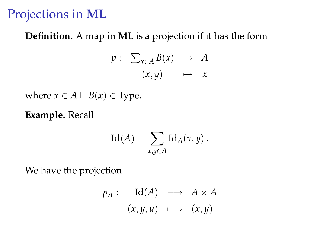## Projections in **ML**

#### **Definition.** A map in **ML** is a projection if it has the form

$$
p: \sum_{x \in A} B(x) \rightarrow A
$$

$$
(x, y) \rightarrow x
$$

where  $x \in A \vdash B(x) \in \text{Type.}$ 

**Example.** Recall

$$
Id(A) = \sum_{x,y \in A} Id_A(x,y).
$$

We have the projection

$$
p_A: \quad \mathrm{Id}(A) \quad \longrightarrow \quad A \times A
$$

$$
(x, y, u) \quad \longmapsto \quad (x, y)
$$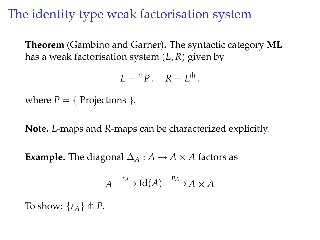# The identity type weak factorisation system

**Theorem** (Gambino and Garner)**.** The syntactic category **ML** has a weak factorisation system (*L*, *R*) given by

$$
L={}^{\pitchfork}P\,,\quad R=L^{\pitchfork}\,.
$$

where  $P = \{$  Projections  $\}$ .

**Note.** *L*-maps and *R*-maps can be characterized explicitly.

**Example.** The diagonal  $\Delta_A : A \to A \times A$  factors as

$$
A \xrightarrow{r_A} \mathrm{Id}(A) \xrightarrow{p_A} A \times A
$$

To show:  $\{r_A\} \pitchfork P$ .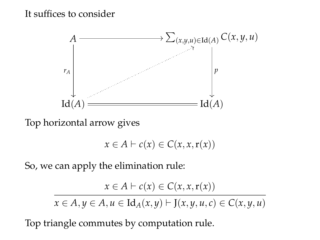#### It suffices to consider



Top horizontal arrow gives

$$
x \in A \vdash c(x) \in C(x, x, r(x))
$$

So, we can apply the elimination rule:

$$
x \in A \vdash c(x) \in C(x, x, r(x))
$$

*x* ∈ *A*, *y* ∈ *A*, *u* ∈ Id<sub>*A*</sub>(*x*, *y*)  $\vdash$  J(*x*, *y*, *u*, *c*) ∈ *C*(*x*, *y*, *u*)

Top triangle commutes by computation rule.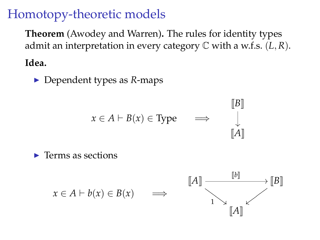# Homotopy-theoretic models

**Theorem** (Awodey and Warren)**.** The rules for identity types admit an interpretation in every category C with a w.f.s. (*L*, *R*).

**Idea.**

▶ Dependent types as *R*-maps

$$
x \in A \vdash B(x) \in \text{Type} \quad \implies \quad \begin{bmatrix} \|B\| \\ \vdots \\ \|A\| \end{bmatrix}
$$

 $\blacktriangleright$  Terms as sections

$$
x \in A \vdash b(x) \in B(x) \qquad \Longrightarrow \qquad \begin{bmatrix} [A] & & & [b] \\ & & \searrow & \\ & & 1 & \searrow \\ & & & [A] & \\ & & & & [A] \end{bmatrix}
$$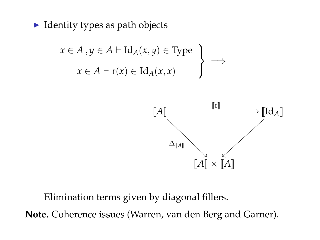$\blacktriangleright$  Identity types as path objects

$$
x \in A, y \in A \vdash \mathrm{Id}_{A}(x, y) \in \mathrm{Type}
$$
  

$$
x \in A \vdash \mathrm{r}(x) \in \mathrm{Id}_{A}(x, x)
$$
  $\Longrightarrow$ 



Elimination terms given by diagonal fillers.

**Note.** Coherence issues (Warren, van den Berg and Garner).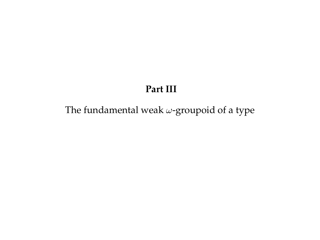#### **Part III**

### The fundamental weak  $\omega$ -groupoid of a type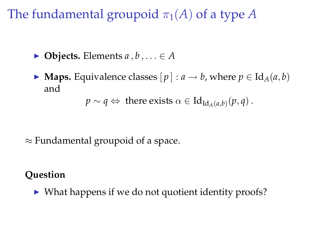The fundamental groupoid  $\pi_1(A)$  of a type A

- $\blacktriangleright$  **Objects.** Elements  $a, b, \ldots \in A$
- ▶ **Maps.** Equivalence classes  $[p] : a \rightarrow b$ , where  $p \in \text{Id}_{A}(a, b)$ and

 $p \sim q \Leftrightarrow$  there exists  $\alpha \in \mathrm{Id}_{\mathrm{Id}_A(a,b)}(p,q)$ .

 $\approx$  Fundamental groupoid of a space.

### **Question**

 $\triangleright$  What happens if we do not quotient identity proofs?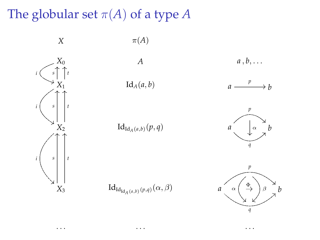The globular set  $\pi(A)$  of a type  $A$ 



*X*  $\pi(A)$ 

Id<sub>*A*</sub> $(a, b)$  *a b b* 

*A a* , *b*, . . .

. . . . . . . . .



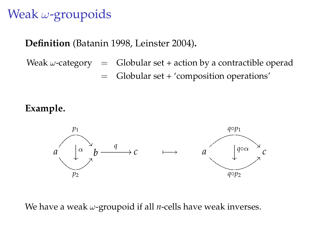# Weak  $\omega$ -groupoids

#### **Definition** (Batanin 1998, Leinster 2004)**.**

Weak  $\omega$ -category = Globular set + action by a contractible operad = Globular set + 'composition operations'

#### **Example.**



We have a weak ω-groupoid if all *n*-cells have weak inverses.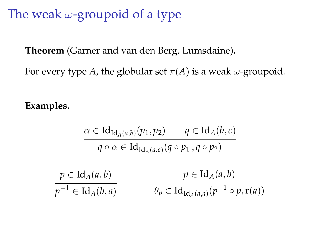# The weak  $\omega$ -groupoid of a type

**Theorem** (Garner and van den Berg, Lumsdaine)**.**

For every type *A*, the globular set  $\pi(A)$  is a weak  $\omega$ -groupoid.

**Examples.**

$$
\alpha \in \mathrm{Id}_{\mathrm{Id}_A(a,b)}(p_1, p_2) \qquad q \in \mathrm{Id}_A(b,c)
$$
\n
$$
q \circ \alpha \in \mathrm{Id}_{\mathrm{Id}_A(a,c)}(q \circ p_1, q \circ p_2)
$$
\n
$$
p \in \mathrm{Id}_A(a,b) \qquad p \in \mathrm{Id}_A(a,b)
$$
\n
$$
p^{-1} \in \mathrm{Id}_A(b,a) \qquad \qquad \theta_p \in \mathrm{Id}_{\mathrm{Id}_A(a,a)}(p^{-1} \circ p, \mathrm{r}(a))
$$